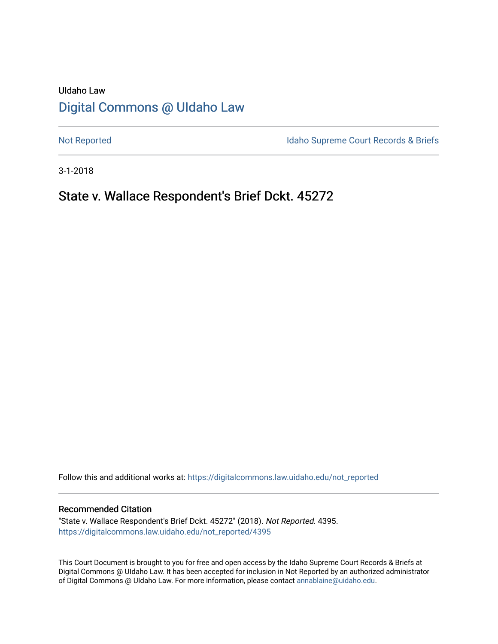# UIdaho Law [Digital Commons @ UIdaho Law](https://digitalcommons.law.uidaho.edu/)

[Not Reported](https://digitalcommons.law.uidaho.edu/not_reported) **Idaho Supreme Court Records & Briefs** 

3-1-2018

# State v. Wallace Respondent's Brief Dckt. 45272

Follow this and additional works at: [https://digitalcommons.law.uidaho.edu/not\\_reported](https://digitalcommons.law.uidaho.edu/not_reported?utm_source=digitalcommons.law.uidaho.edu%2Fnot_reported%2F4395&utm_medium=PDF&utm_campaign=PDFCoverPages) 

#### Recommended Citation

"State v. Wallace Respondent's Brief Dckt. 45272" (2018). Not Reported. 4395. [https://digitalcommons.law.uidaho.edu/not\\_reported/4395](https://digitalcommons.law.uidaho.edu/not_reported/4395?utm_source=digitalcommons.law.uidaho.edu%2Fnot_reported%2F4395&utm_medium=PDF&utm_campaign=PDFCoverPages)

This Court Document is brought to you for free and open access by the Idaho Supreme Court Records & Briefs at Digital Commons @ UIdaho Law. It has been accepted for inclusion in Not Reported by an authorized administrator of Digital Commons @ UIdaho Law. For more information, please contact [annablaine@uidaho.edu](mailto:annablaine@uidaho.edu).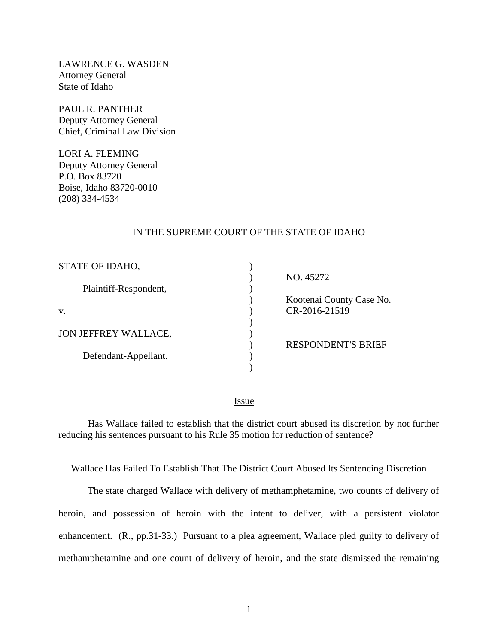LAWRENCE G. WASDEN Attorney General State of Idaho

PAUL R. PANTHER Deputy Attorney General Chief, Criminal Law Division

LORI A. FLEMING Deputy Attorney General P.O. Box 83720 Boise, Idaho 83720-0010 (208) 334-4534

## IN THE SUPREME COURT OF THE STATE OF IDAHO

) ) ) ) ) ) ) ) ) )

NO. 45272

 Kootenai County Case No. CR-2016-21519

RESPONDENT'S BRIEF

<u>Issue</u>

Has Wallace failed to establish that the district court abused its discretion by not further reducing his sentences pursuant to his Rule 35 motion for reduction of sentence?

#### Wallace Has Failed To Establish That The District Court Abused Its Sentencing Discretion

The state charged Wallace with delivery of methamphetamine, two counts of delivery of heroin, and possession of heroin with the intent to deliver, with a persistent violator enhancement. (R., pp.31-33.) Pursuant to a plea agreement, Wallace pled guilty to delivery of methamphetamine and one count of delivery of heroin, and the state dismissed the remaining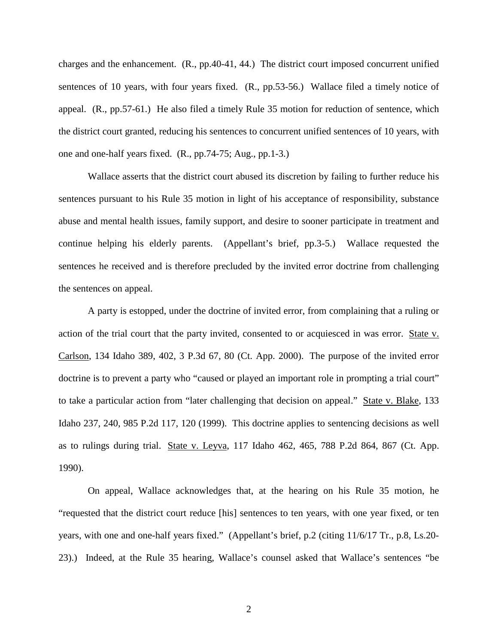charges and the enhancement. (R., pp.40-41, 44.) The district court imposed concurrent unified sentences of 10 years, with four years fixed. (R., pp.53-56.) Wallace filed a timely notice of appeal. (R., pp.57-61.) He also filed a timely Rule 35 motion for reduction of sentence, which the district court granted, reducing his sentences to concurrent unified sentences of 10 years, with one and one-half years fixed. (R., pp.74-75; Aug., pp.1-3.)

Wallace asserts that the district court abused its discretion by failing to further reduce his sentences pursuant to his Rule 35 motion in light of his acceptance of responsibility, substance abuse and mental health issues, family support, and desire to sooner participate in treatment and continue helping his elderly parents. (Appellant's brief, pp.3-5.) Wallace requested the sentences he received and is therefore precluded by the invited error doctrine from challenging the sentences on appeal.

A party is estopped, under the doctrine of invited error, from complaining that a ruling or action of the trial court that the party invited, consented to or acquiesced in was error. State v. Carlson, 134 Idaho 389, 402, 3 P.3d 67, 80 (Ct. App. 2000). The purpose of the invited error doctrine is to prevent a party who "caused or played an important role in prompting a trial court" to take a particular action from "later challenging that decision on appeal." State v. Blake, 133 Idaho 237, 240, 985 P.2d 117, 120 (1999). This doctrine applies to sentencing decisions as well as to rulings during trial. State v. Leyva, 117 Idaho 462, 465, 788 P.2d 864, 867 (Ct. App. 1990).

On appeal, Wallace acknowledges that, at the hearing on his Rule 35 motion, he "requested that the district court reduce [his] sentences to ten years, with one year fixed, or ten years, with one and one-half years fixed." (Appellant's brief, p.2 (citing 11/6/17 Tr., p.8, Ls.20- 23).) Indeed, at the Rule 35 hearing, Wallace's counsel asked that Wallace's sentences "be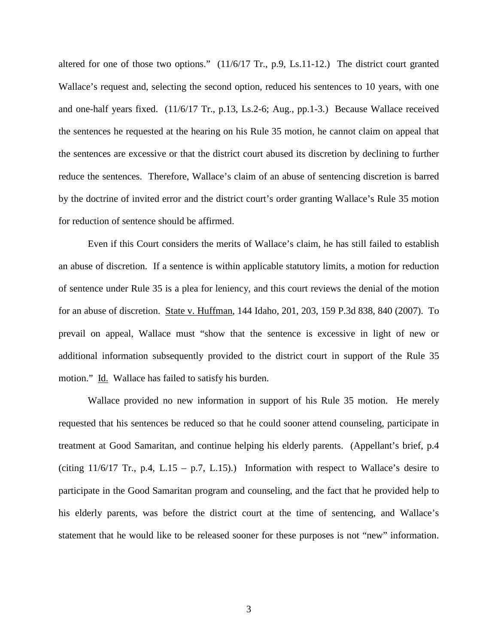altered for one of those two options." (11/6/17 Tr., p.9, Ls.11-12.) The district court granted Wallace's request and, selecting the second option, reduced his sentences to 10 years, with one and one-half years fixed. (11/6/17 Tr., p.13, Ls.2-6; Aug., pp.1-3.) Because Wallace received the sentences he requested at the hearing on his Rule 35 motion, he cannot claim on appeal that the sentences are excessive or that the district court abused its discretion by declining to further reduce the sentences. Therefore, Wallace's claim of an abuse of sentencing discretion is barred by the doctrine of invited error and the district court's order granting Wallace's Rule 35 motion for reduction of sentence should be affirmed.

Even if this Court considers the merits of Wallace's claim, he has still failed to establish an abuse of discretion. If a sentence is within applicable statutory limits, a motion for reduction of sentence under Rule 35 is a plea for leniency, and this court reviews the denial of the motion for an abuse of discretion. State v. Huffman, 144 Idaho, 201, 203, 159 P.3d 838, 840 (2007). To prevail on appeal, Wallace must "show that the sentence is excessive in light of new or additional information subsequently provided to the district court in support of the Rule 35 motion." Id. Wallace has failed to satisfy his burden.

Wallace provided no new information in support of his Rule 35 motion. He merely requested that his sentences be reduced so that he could sooner attend counseling, participate in treatment at Good Samaritan, and continue helping his elderly parents. (Appellant's brief, p.4 (citing  $11/6/17$  Tr., p.4, L.15 – p.7, L.15).) Information with respect to Wallace's desire to participate in the Good Samaritan program and counseling, and the fact that he provided help to his elderly parents, was before the district court at the time of sentencing, and Wallace's statement that he would like to be released sooner for these purposes is not "new" information.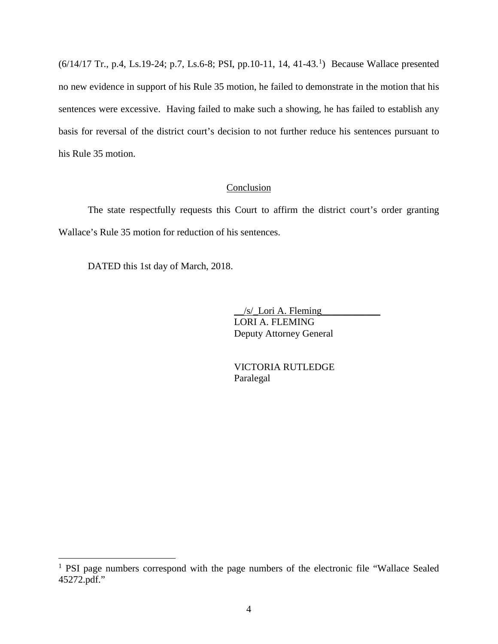(6/[1](#page-4-0)4/17 Tr., p.4, Ls.19-24; p.7, Ls.6-8; PSI, pp.10-11, 14, 41-43.<sup>1</sup>) Because Wallace presented no new evidence in support of his Rule 35 motion, he failed to demonstrate in the motion that his sentences were excessive. Having failed to make such a showing, he has failed to establish any basis for reversal of the district court's decision to not further reduce his sentences pursuant to his Rule 35 motion.

### **Conclusion**

The state respectfully requests this Court to affirm the district court's order granting Wallace's Rule 35 motion for reduction of his sentences.

DATED this 1st day of March, 2018.

 $\overline{a}$ 

 $/s/$  Lori A. Fleming LORI A. FLEMING Deputy Attorney General

 VICTORIA RUTLEDGE Paralegal

<span id="page-4-0"></span><sup>&</sup>lt;sup>1</sup> PSI page numbers correspond with the page numbers of the electronic file "Wallace Sealed" 45272.pdf."